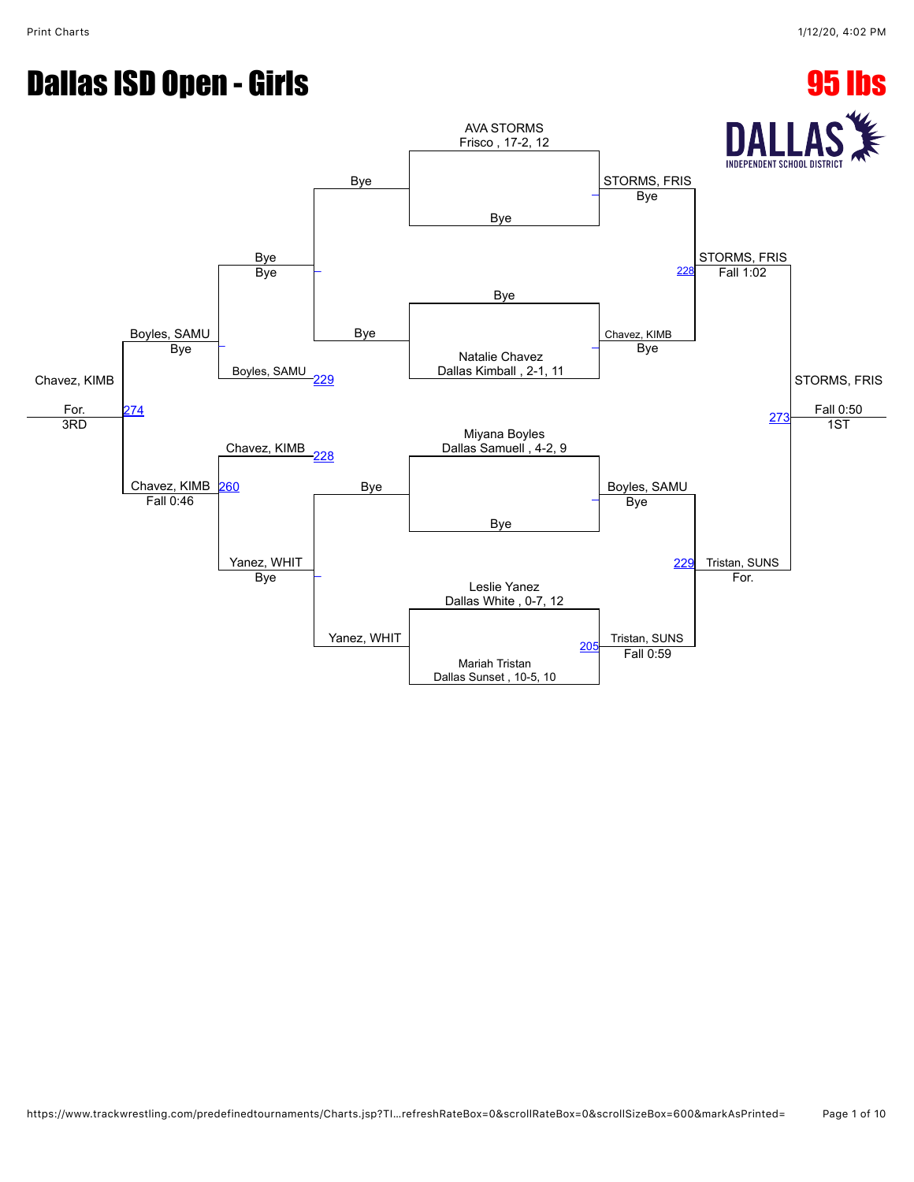# **Dallas ISD Open - Girls 95 lbs**

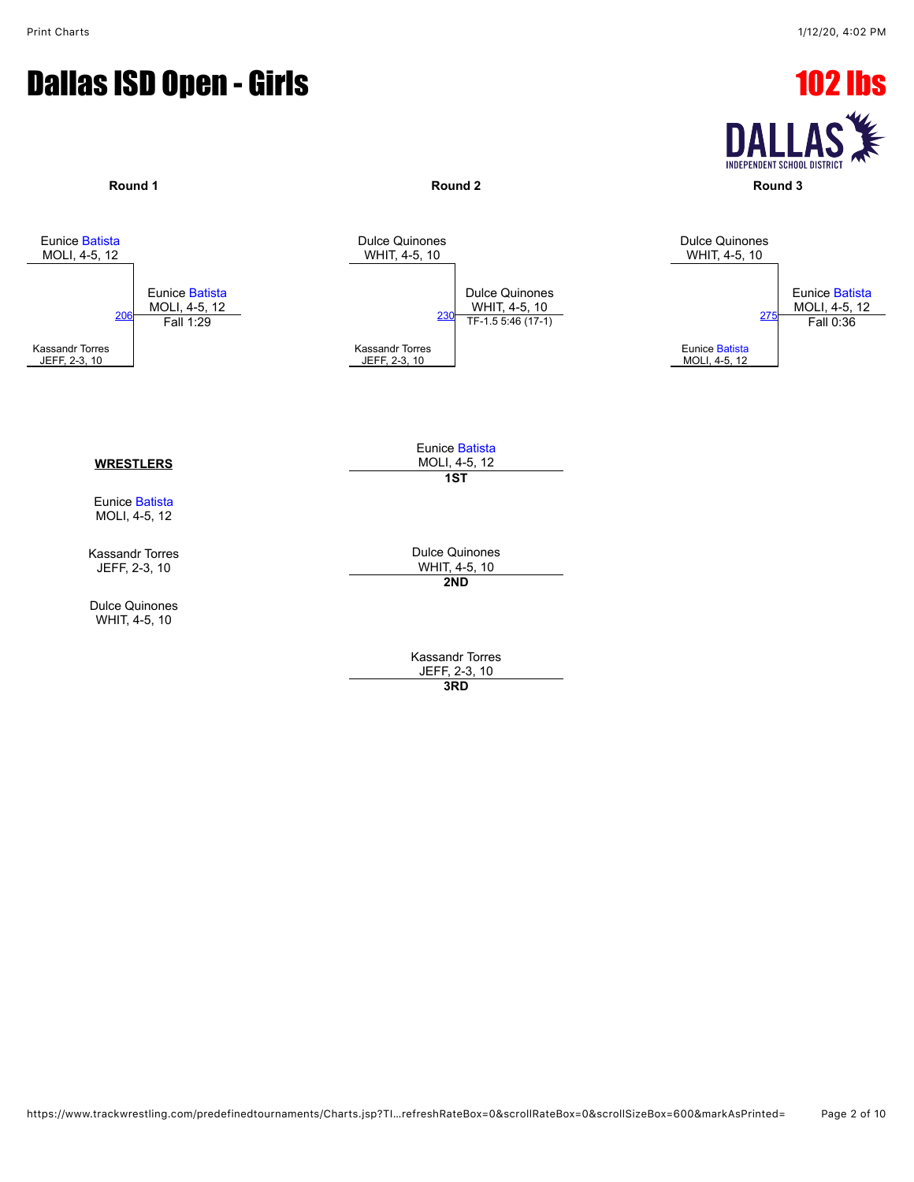#### **Dallas ISD Open - Girls 102 lbs**

**DALLA INDEPENDENT SCHOOL DISTRICT** 

**Round 1 Round 2 Round 3**





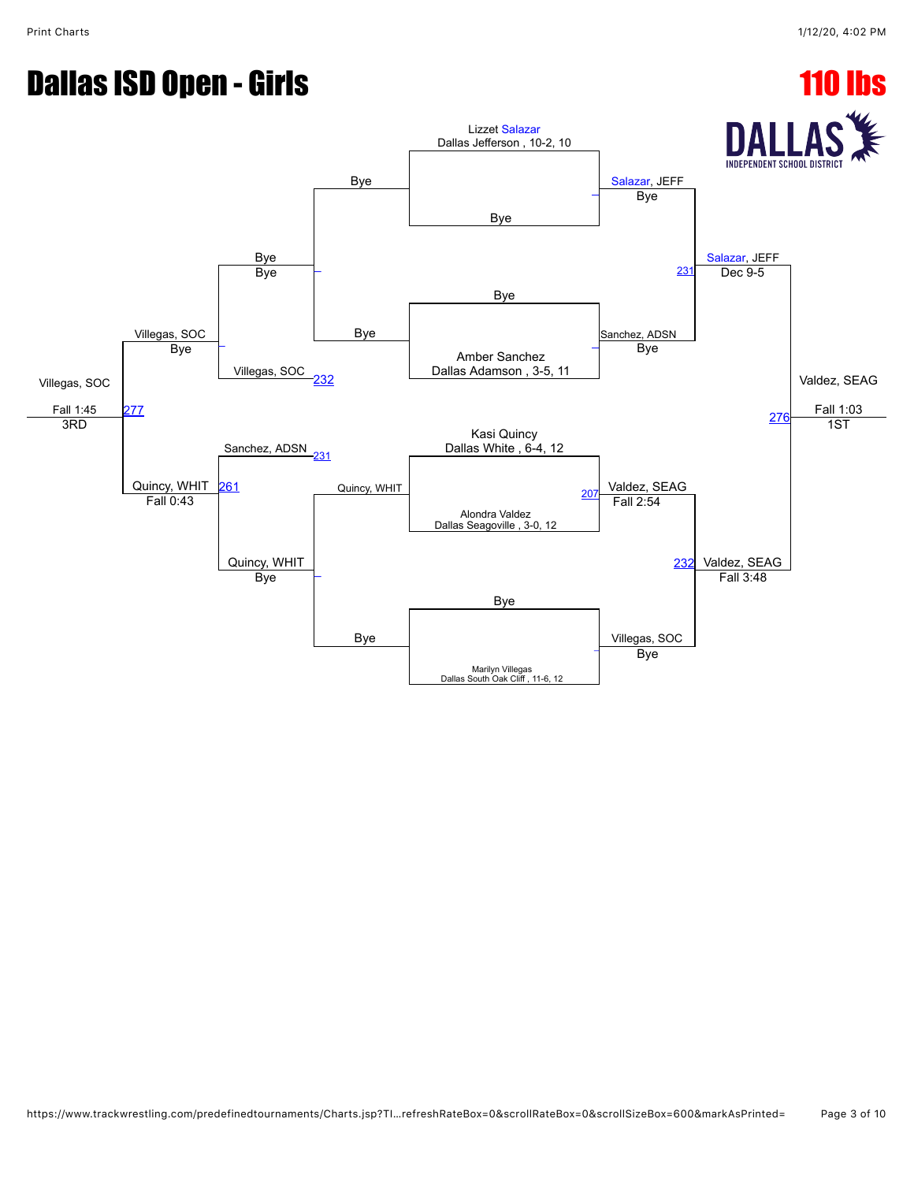# **Dallas ISD Open - Girls 110 lbs**

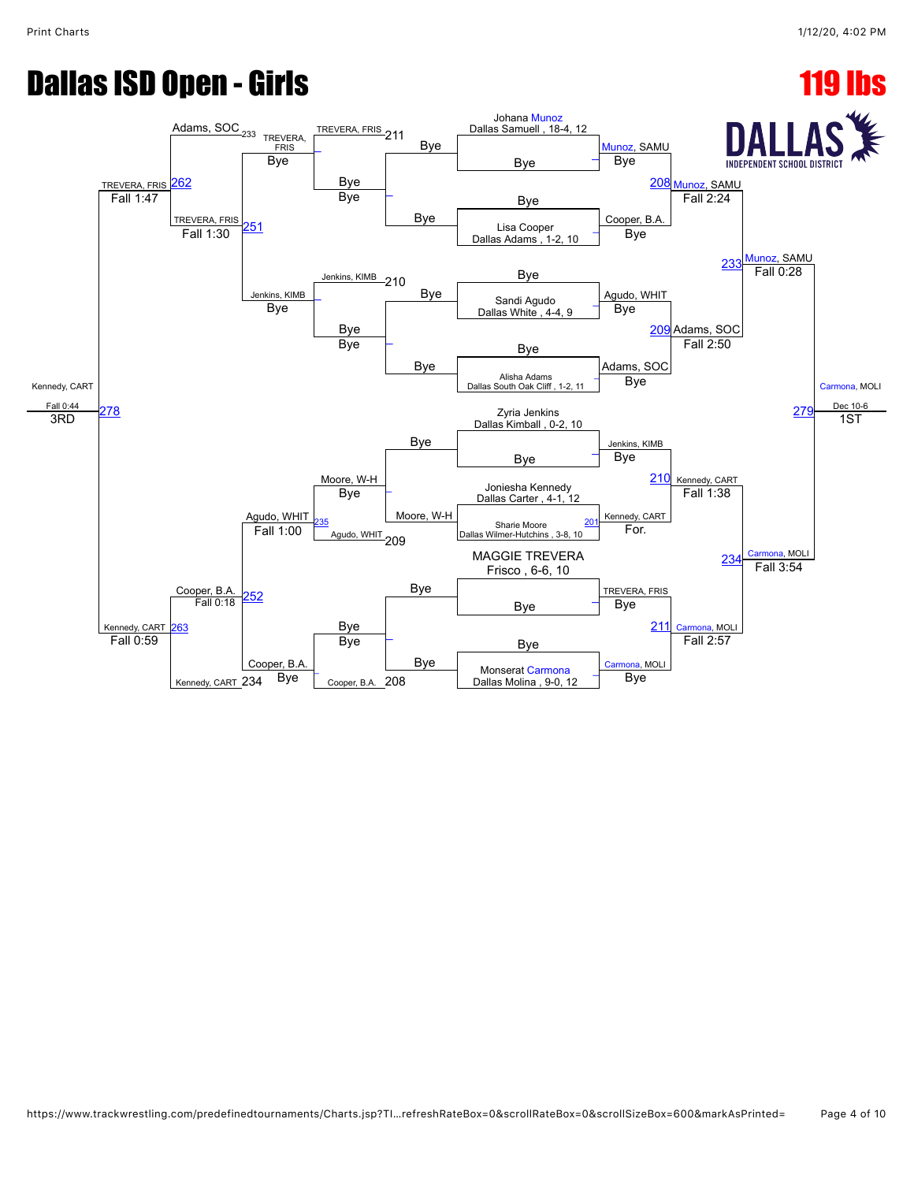## **Dallas ISD Open - Girls 119 lbs**

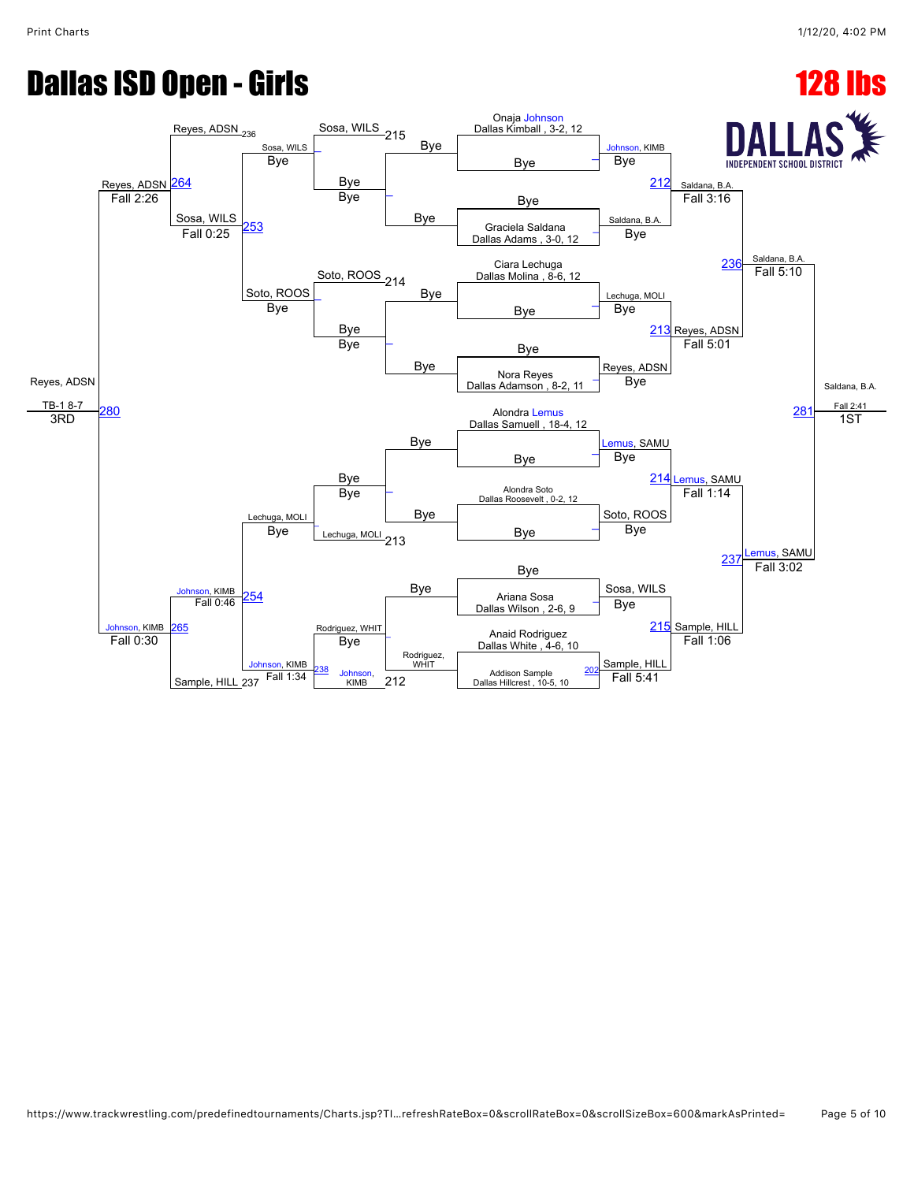### **Dallas ISD Open - Girls 128 lbs**

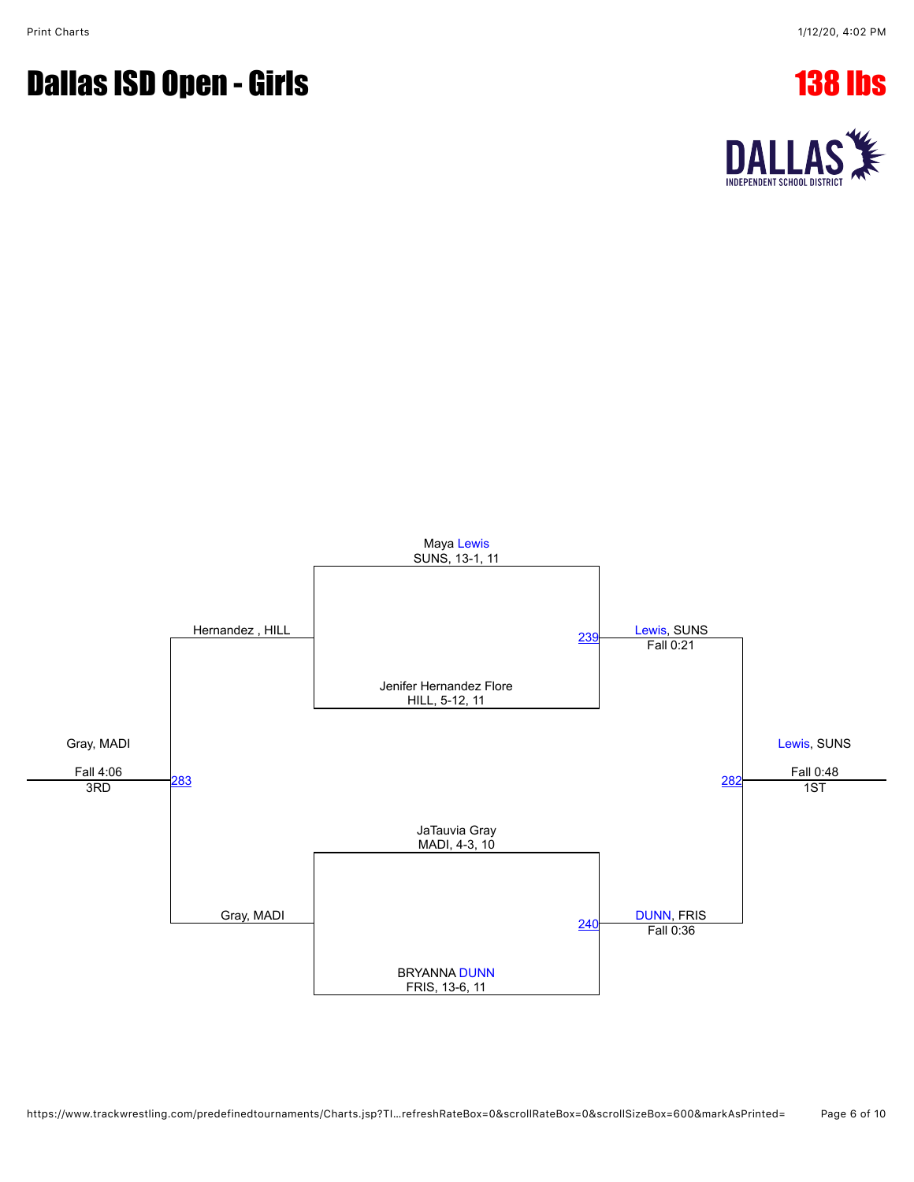### **Dallas ISD Open - Girls 138 lbs**



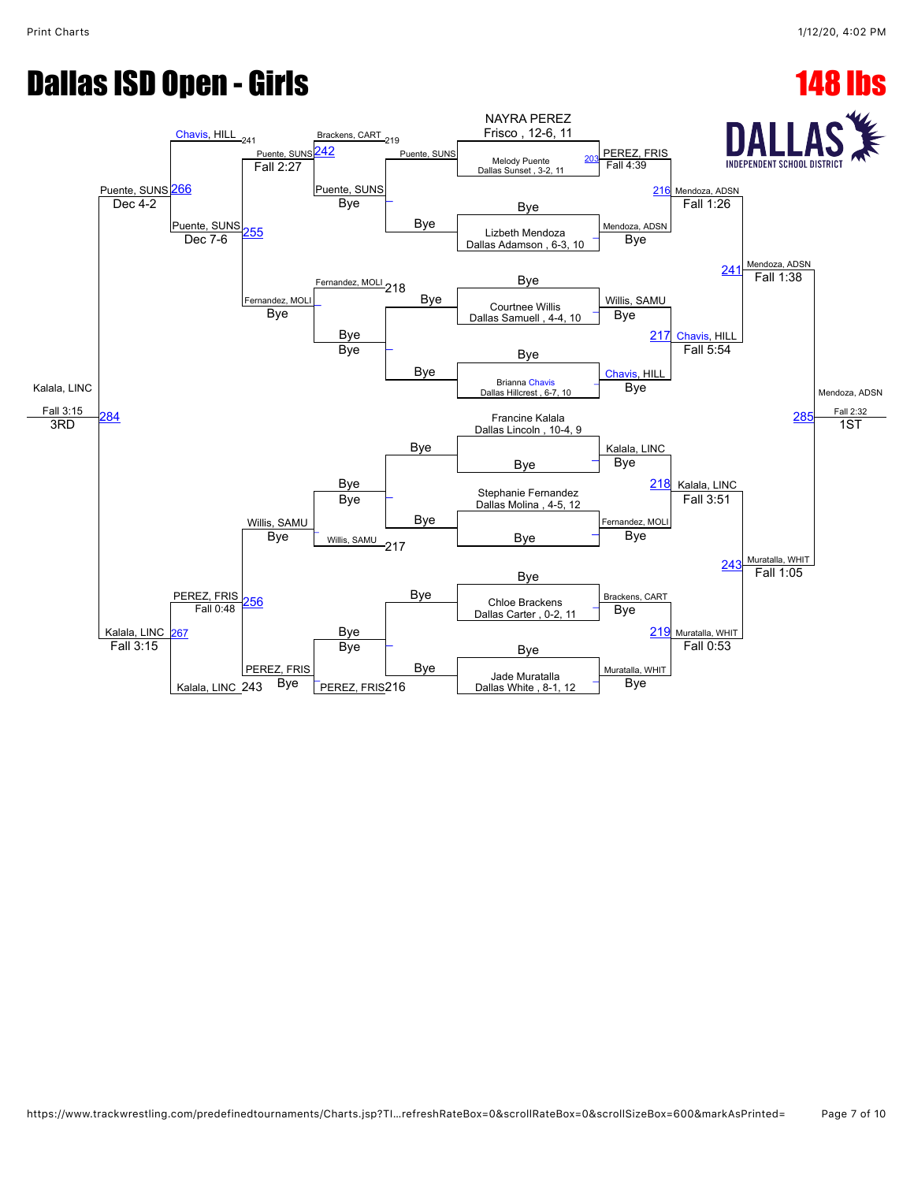## **Dallas ISD Open - Girls 148 lbs**

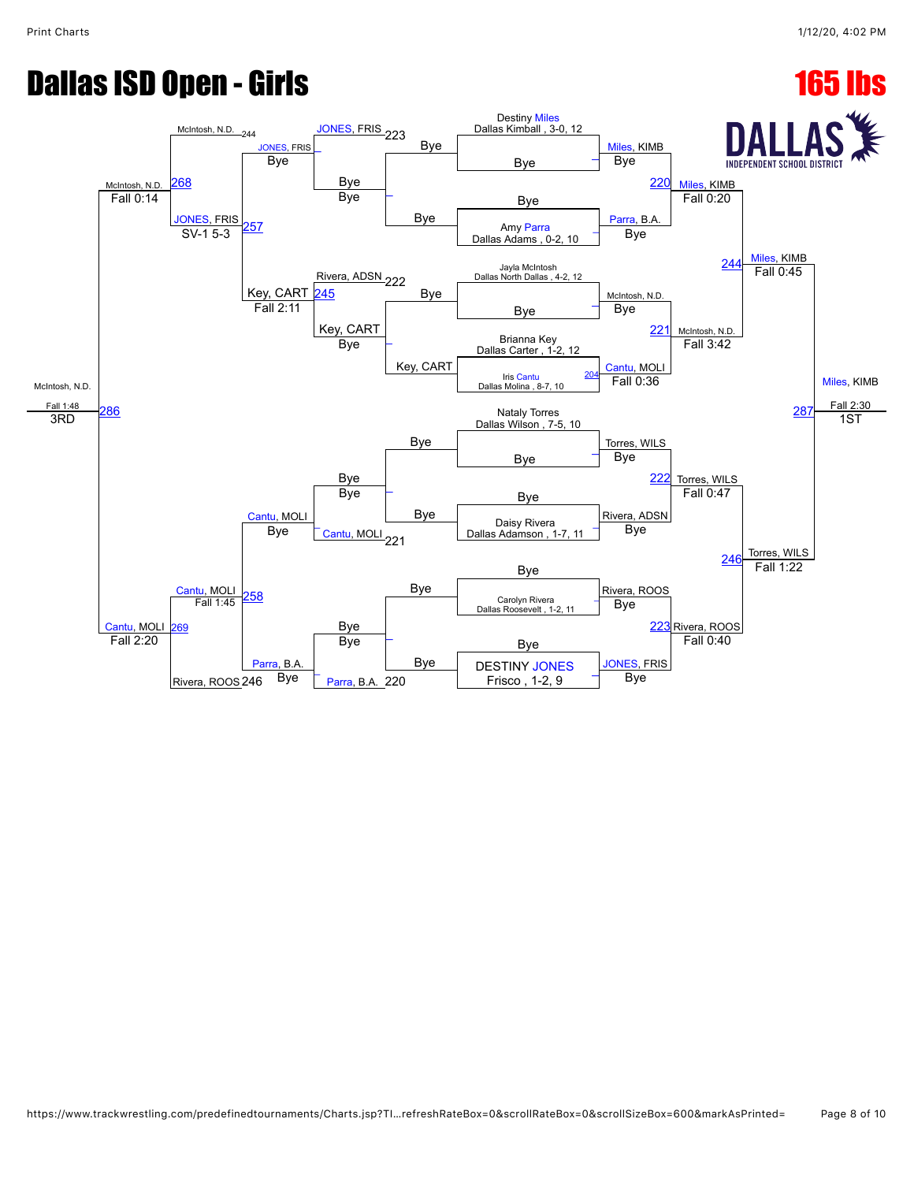## **Dallas ISD Open - Girls 165 lbs**

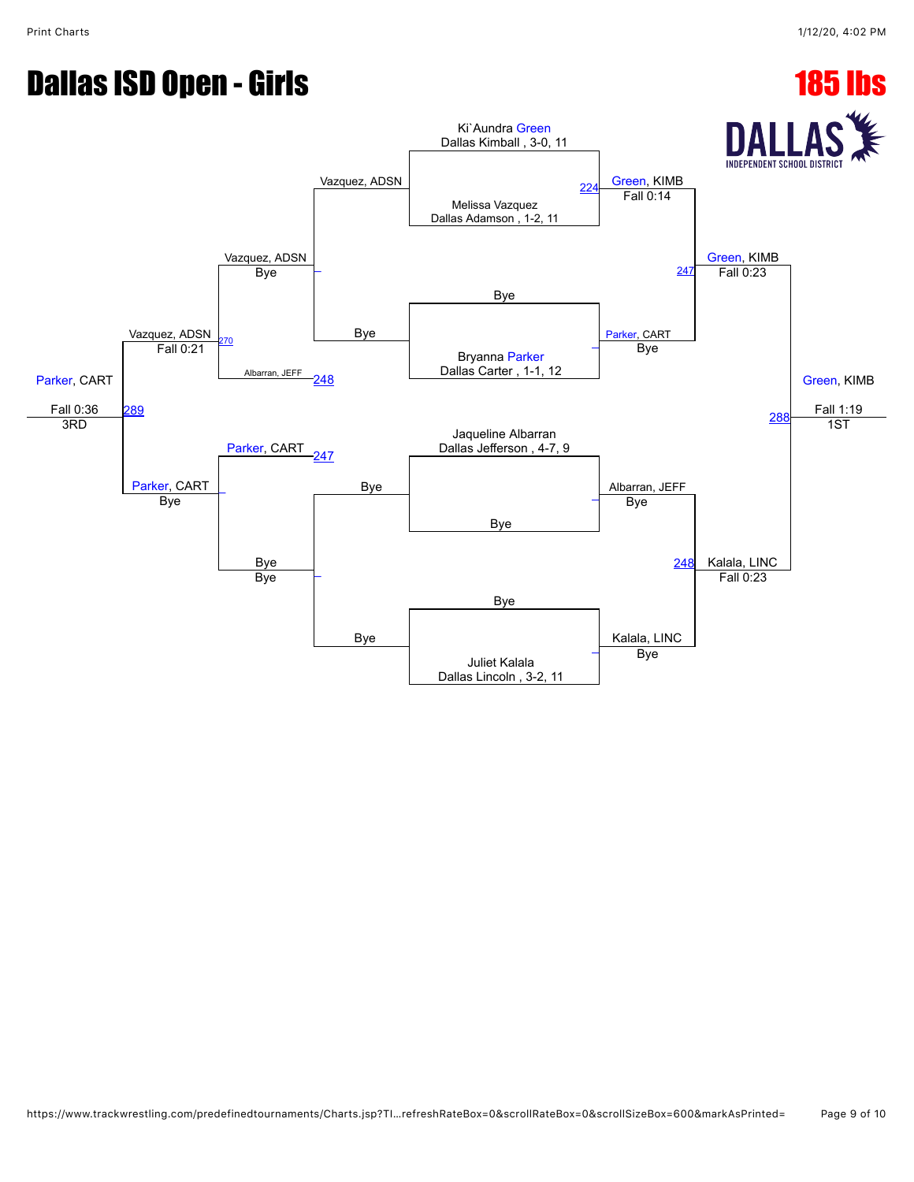# **Dallas ISD Open - Girls 185 lbs**